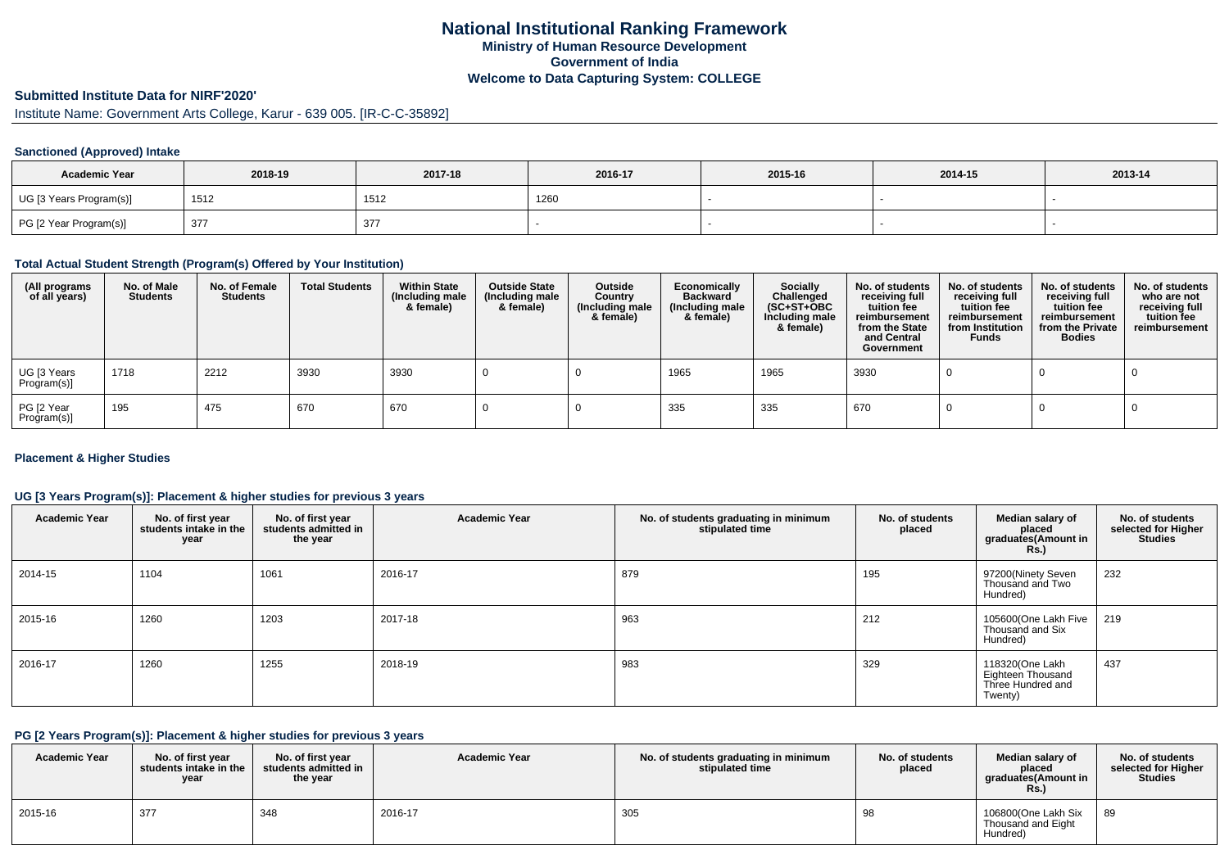# **Submitted Institute Data for NIRF'2020'**

Institute Name: Government Arts College, Karur - 639 005. [IR-C-C-35892]

### **Sanctioned (Approved) Intake**

| <b>Academic Year</b>    | 2018-19 | 2017-18 | 2016-17 | 2015-16 | 2014-15 | 2013-14 |
|-------------------------|---------|---------|---------|---------|---------|---------|
| UG [3 Years Program(s)] | 1512    | 1512    | 1260    |         |         |         |
| PG [2 Year Program(s)]  | 377     | 377     |         |         |         |         |

#### **Total Actual Student Strength (Program(s) Offered by Your Institution)**

| (All programs<br>of all years) | No. of Male<br><b>Students</b> | No. of Female<br><b>Students</b> | <b>Total Students</b> | <b>Within State</b><br>(Including male<br>& female) | <b>Outside State</b><br>(Including male<br>& female) | Outside<br>Country<br>(Including male<br>& female) | Economically<br><b>Backward</b><br>(Including male<br>& female) | <b>Socially</b><br>Challenged<br>$(SC+ST+OBC)$<br>Including male<br>& female) | No. of students<br>receiving full<br>tuition fee<br>reimbursement<br>from the State<br>and Central<br>Government | No. of students<br>receiving full<br>tuition fee<br>reimbursement<br>from Institution<br><b>Funds</b> | No. of students<br>receiving full<br>tuition fee<br>reimbursement<br>from the Private<br><b>Bodies</b> | No. of students<br>who are not<br>receiving full<br>tuition fee<br>reimbursement |
|--------------------------------|--------------------------------|----------------------------------|-----------------------|-----------------------------------------------------|------------------------------------------------------|----------------------------------------------------|-----------------------------------------------------------------|-------------------------------------------------------------------------------|------------------------------------------------------------------------------------------------------------------|-------------------------------------------------------------------------------------------------------|--------------------------------------------------------------------------------------------------------|----------------------------------------------------------------------------------|
| UG [3 Years<br>Program(s)]     | 1718                           | 2212                             | 3930                  | 3930                                                |                                                      |                                                    | 1965                                                            | 1965                                                                          | 3930                                                                                                             |                                                                                                       |                                                                                                        |                                                                                  |
| PG [2 Year<br>Program(s)]      | 195                            | 475                              | 670                   | 670                                                 |                                                      |                                                    | 335                                                             | 335                                                                           | 670                                                                                                              |                                                                                                       |                                                                                                        |                                                                                  |

#### **Placement & Higher Studies**

### **UG [3 Years Program(s)]: Placement & higher studies for previous 3 years**

| <b>Academic Year</b> | No. of first year<br>students intake in the<br>year | No. of first year<br>students admitted in<br>the year | <b>Academic Year</b> | No. of students graduating in minimum<br>stipulated time | No. of students<br>placed | Median salary of<br>placed<br>graduates(Amount in<br><b>Rs.)</b>     | No. of students<br>selected for Higher<br><b>Studies</b> |
|----------------------|-----------------------------------------------------|-------------------------------------------------------|----------------------|----------------------------------------------------------|---------------------------|----------------------------------------------------------------------|----------------------------------------------------------|
| 2014-15              | 1104                                                | 1061                                                  | 2016-17              | 879                                                      | 195                       | 97200(Ninety Seven<br>Thousand and Two<br>Hundred)                   | 232                                                      |
| 2015-16              | 1260                                                | 1203                                                  | 2017-18              | 963                                                      | 212                       | 105600(One Lakh Five<br>Thousand and Six<br>Hundred)                 | 219                                                      |
| 2016-17              | 1260                                                | 1255                                                  | 2018-19              | 983                                                      | 329                       | 118320(One Lakh<br>Eighteen Thousand<br>Three Hundred and<br>Twenty) | 437                                                      |

### **PG [2 Years Program(s)]: Placement & higher studies for previous 3 years**

| <b>Academic Year</b> | No. of first vear<br>students intake in the<br>year | No. of first vear<br>students admitted in<br>the year | <b>Academic Year</b> | No. of students graduating in minimum<br>stipulated time | No. of students<br>placed | Median salary of<br>placed<br>graduates(Amount in<br>Rs. | No. of students<br>selected for Higher<br><b>Studies</b> |
|----------------------|-----------------------------------------------------|-------------------------------------------------------|----------------------|----------------------------------------------------------|---------------------------|----------------------------------------------------------|----------------------------------------------------------|
| 2015-16              | 377                                                 | 348                                                   | 2016-17              | 305                                                      | 98                        | 106800(One Lakh Six<br>Thousand and Eight<br>Hundred)    | 89                                                       |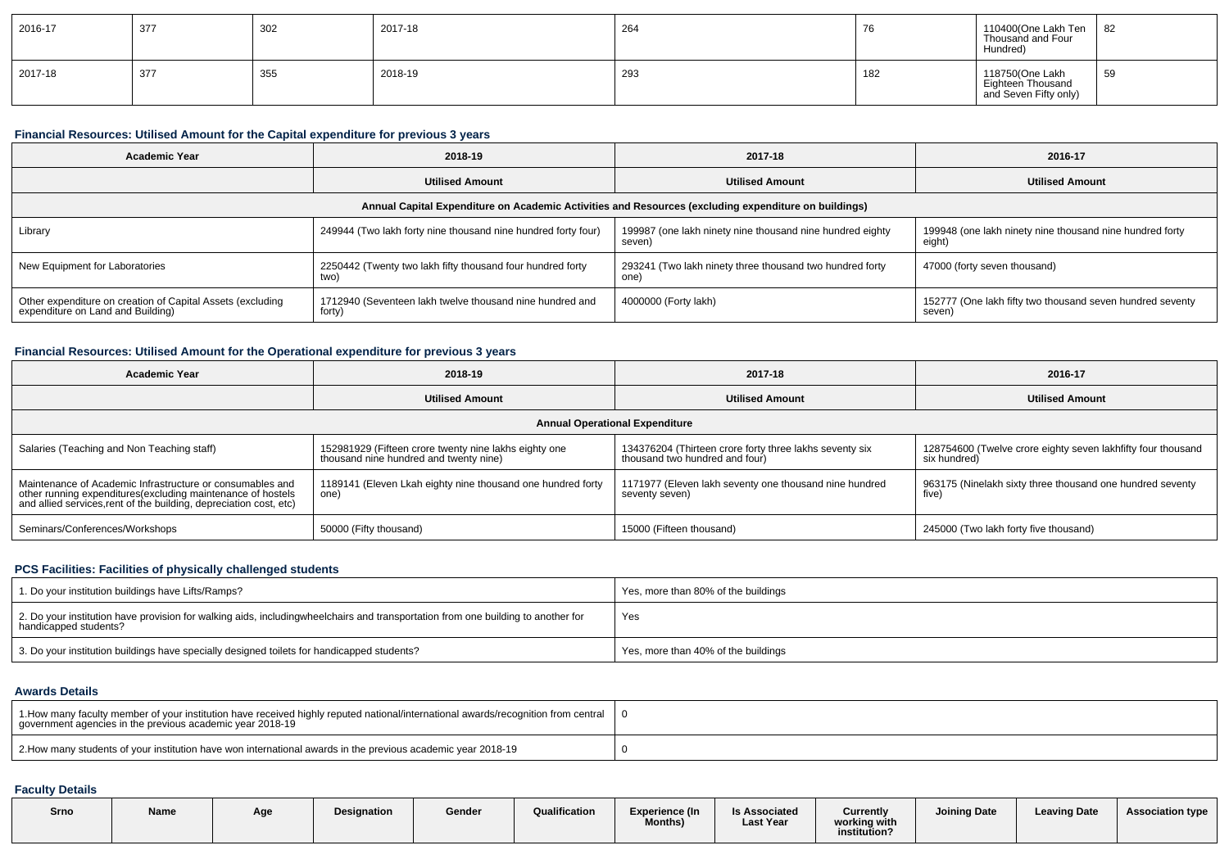| 2016-17 | 377 | 302 | 2017-18 | 264 | - 70 | 110400(One Lakh Ten<br>Thousand and Four<br>Hundred)          | 82                     |
|---------|-----|-----|---------|-----|------|---------------------------------------------------------------|------------------------|
| 2017-18 | 377 | 355 | 2018-19 | 293 | 182  | 118750(One Lakh<br>Eighteen Thousand<br>and Seven Fifty only) | 55 <sup>o</sup><br>ົບອ |

#### **Financial Resources: Utilised Amount for the Capital expenditure for previous 3 years**

| Academic Year                                                                                   | 2018-19                                                            | 2017-18                                                                                              | 2016-17                                                             |  |  |
|-------------------------------------------------------------------------------------------------|--------------------------------------------------------------------|------------------------------------------------------------------------------------------------------|---------------------------------------------------------------------|--|--|
|                                                                                                 | <b>Utilised Amount</b>                                             | <b>Utilised Amount</b>                                                                               | <b>Utilised Amount</b>                                              |  |  |
|                                                                                                 |                                                                    | Annual Capital Expenditure on Academic Activities and Resources (excluding expenditure on buildings) |                                                                     |  |  |
| Library                                                                                         | 249944 (Two lakh forty nine thousand nine hundred forty four)      | 199987 (one lakh ninety nine thousand nine hundred eighty<br>seven                                   | 199948 (one lakh ninety nine thousand nine hundred forty<br>eight)  |  |  |
| New Equipment for Laboratories                                                                  | 2250442 (Twenty two lakh fifty thousand four hundred forty<br>two) | 293241 (Two lakh ninety three thousand two hundred forty<br>one)                                     | 47000 (forty seven thousand)                                        |  |  |
| Other expenditure on creation of Capital Assets (excluding<br>expenditure on Land and Building) | 1712940 (Seventeen lakh twelve thousand nine hundred and<br>forty) | 4000000 (Forty lakh)                                                                                 | 152777 (One lakh fifty two thousand seven hundred seventy<br>seven) |  |  |

### **Financial Resources: Utilised Amount for the Operational expenditure for previous 3 years**

| <b>Academic Year</b>                                                                                                                                                                           | 2018-19                                                                                         | 2017-18                                                                                   | 2016-17                                                                      |  |
|------------------------------------------------------------------------------------------------------------------------------------------------------------------------------------------------|-------------------------------------------------------------------------------------------------|-------------------------------------------------------------------------------------------|------------------------------------------------------------------------------|--|
|                                                                                                                                                                                                | <b>Utilised Amount</b>                                                                          | <b>Utilised Amount</b>                                                                    | <b>Utilised Amount</b>                                                       |  |
|                                                                                                                                                                                                |                                                                                                 | <b>Annual Operational Expenditure</b>                                                     |                                                                              |  |
| Salaries (Teaching and Non Teaching staff)                                                                                                                                                     | 152981929 (Fifteen crore twenty nine lakhs eighty one<br>thousand nine hundred and twenty nine) | 134376204 (Thirteen crore forty three lakhs seventy six<br>thousand two hundred and four) | 128754600 (Twelve crore eighty seven lakhfifty four thousand<br>six hundred) |  |
| Maintenance of Academic Infrastructure or consumables and<br>other running expenditures(excluding maintenance of hostels<br>and allied services, rent of the building, depreciation cost, etc) | 1189141 (Eleven Lkah eighty nine thousand one hundred forty<br>one)                             | 1171977 (Eleven lakh seventy one thousand nine hundred<br>seventy seven)                  | 963175 (Ninelakh sixty three thousand one hundred seventy<br>five)           |  |
| Seminars/Conferences/Workshops                                                                                                                                                                 | 50000 (Fifty thousand)                                                                          | 15000 (Fifteen thousand)                                                                  | 245000 (Two lakh forty five thousand)                                        |  |

#### **PCS Facilities: Facilities of physically challenged students**

| 1. Do your institution buildings have Lifts/Ramps?                                                                                                          | Yes, more than 80% of the buildings |
|-------------------------------------------------------------------------------------------------------------------------------------------------------------|-------------------------------------|
| 2. Do your institution have provision for walking aids, includingwheelchairs and transportation from one building to another for<br>  handicapped students? | Yes                                 |
| 3. Do your institution buildings have specially designed toilets for handicapped students?                                                                  | Yes, more than 40% of the buildings |

#### **Awards Details**

| 1. How many faculty member of your institution have received highly reputed national/international awards/recognition from central   0<br>government agencies in the previous academic year 2018-19 |  |
|-----------------------------------------------------------------------------------------------------------------------------------------------------------------------------------------------------|--|
| 2. How many students of your institution have won international awards in the previous academic year 2018-19                                                                                        |  |

## **Faculty Details**

|  | Srno | Name | Age | <b>Designation</b> | Gender | Qualification | <b>Experience (In</b><br>Months) | ls Associated<br><b>Last Year</b> | Currently<br>working with<br>institution? | <b>Joining Date</b> | <b>Leaving Date</b> | <b>Association type</b> |
|--|------|------|-----|--------------------|--------|---------------|----------------------------------|-----------------------------------|-------------------------------------------|---------------------|---------------------|-------------------------|
|--|------|------|-----|--------------------|--------|---------------|----------------------------------|-----------------------------------|-------------------------------------------|---------------------|---------------------|-------------------------|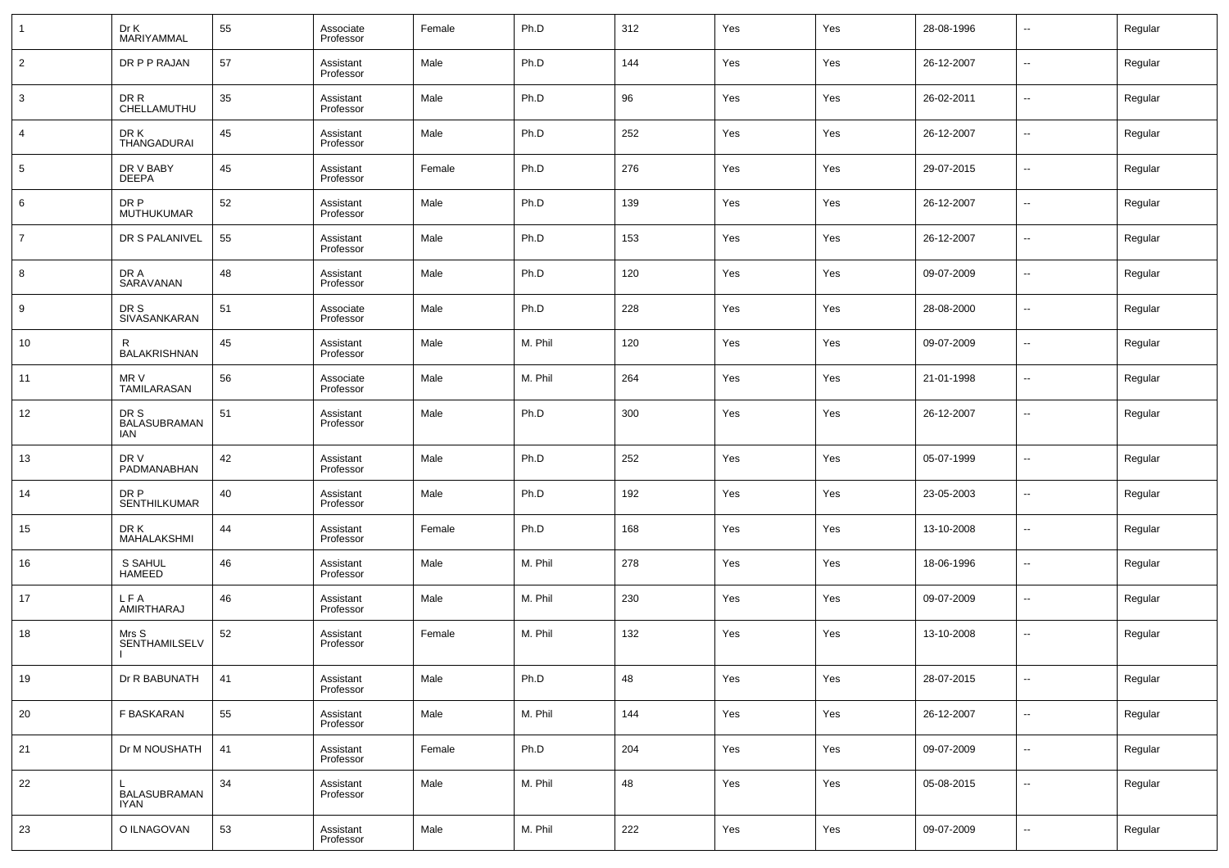| 1              | Dr K<br>MARIYAMMAL                 | 55 | Associate<br>Professor | Female | Ph.D    | 312 | Yes | Yes | 28-08-1996 | $\overline{\phantom{a}}$ | Regular |
|----------------|------------------------------------|----|------------------------|--------|---------|-----|-----|-----|------------|--------------------------|---------|
| $\overline{2}$ | DR P P RAJAN                       | 57 | Assistant<br>Professor | Male   | Ph.D    | 144 | Yes | Yes | 26-12-2007 | --                       | Regular |
| 3              | DR R<br>CHELLAMUTHU                | 35 | Assistant<br>Professor | Male   | Ph.D    | 96  | Yes | Yes | 26-02-2011 | ш,                       | Regular |
| 4              | DR K<br><b>THANGADURAI</b>         | 45 | Assistant<br>Professor | Male   | Ph.D    | 252 | Yes | Yes | 26-12-2007 | $\overline{\phantom{a}}$ | Regular |
| 5              | DR V BABY<br><b>DEEPA</b>          | 45 | Assistant<br>Professor | Female | Ph.D    | 276 | Yes | Yes | 29-07-2015 | ш,                       | Regular |
| 6              | DR P<br><b>MUTHUKUMAR</b>          | 52 | Assistant<br>Professor | Male   | Ph.D    | 139 | Yes | Yes | 26-12-2007 | $\overline{\phantom{a}}$ | Regular |
| $\overline{7}$ | DR S PALANIVEL                     | 55 | Assistant<br>Professor | Male   | Ph.D    | 153 | Yes | Yes | 26-12-2007 | ш,                       | Regular |
| 8              | DR A<br>SARAVANAN                  | 48 | Assistant<br>Professor | Male   | Ph.D    | 120 | Yes | Yes | 09-07-2009 | $\overline{\phantom{a}}$ | Regular |
| 9              | DR S<br>SIVASANKARAN               | 51 | Associate<br>Professor | Male   | Ph.D    | 228 | Yes | Yes | 28-08-2000 | ш,                       | Regular |
| 10             | R<br><b>BALAKRISHNAN</b>           | 45 | Assistant<br>Professor | Male   | M. Phil | 120 | Yes | Yes | 09-07-2009 | $\overline{\phantom{a}}$ | Regular |
| 11             | MR V<br>TAMILARASAN                | 56 | Associate<br>Professor | Male   | M. Phil | 264 | Yes | Yes | 21-01-1998 | --                       | Regular |
| 12             | DR S<br><b>BALASUBRAMAN</b><br>IAN | 51 | Assistant<br>Professor | Male   | Ph.D    | 300 | Yes | Yes | 26-12-2007 | $\overline{a}$           | Regular |
| 13             | DR V<br>PADMANABHAN                | 42 | Assistant<br>Professor | Male   | Ph.D    | 252 | Yes | Yes | 05-07-1999 | --                       | Regular |
| 14             | DR P<br><b>SENTHILKUMAR</b>        | 40 | Assistant<br>Professor | Male   | Ph.D    | 192 | Yes | Yes | 23-05-2003 | --                       | Regular |
| 15             | DR K<br>MAHALAKSHMI                | 44 | Assistant<br>Professor | Female | Ph.D    | 168 | Yes | Yes | 13-10-2008 | --                       | Regular |
| 16             | S SAHUL<br><b>HAMEED</b>           | 46 | Assistant<br>Professor | Male   | M. Phil | 278 | Yes | Yes | 18-06-1996 | --                       | Regular |
| 17             | L F A<br>AMIRTHARAJ                | 46 | Assistant<br>Professor | Male   | M. Phil | 230 | Yes | Yes | 09-07-2009 | --                       | Regular |
| 18             | Mrs S<br>SENTHAMILSELV             | 52 | Assistant<br>Professor | Female | M. Phil | 132 | Yes | Yes | 13-10-2008 | --                       | Regular |
| 19             | Dr R BABUNATH                      | 41 | Assistant<br>Professor | Male   | Ph.D    | 48  | Yes | Yes | 28-07-2015 | $\overline{\phantom{a}}$ | Regular |
| 20             | F BASKARAN                         | 55 | Assistant<br>Professor | Male   | M. Phil | 144 | Yes | Yes | 26-12-2007 | $\sim$                   | Regular |
| 21             | Dr M NOUSHATH                      | 41 | Assistant<br>Professor | Female | Ph.D    | 204 | Yes | Yes | 09-07-2009 | $\sim$                   | Regular |
| 22             | BALASUBRAMAN<br><b>IYAN</b>        | 34 | Assistant<br>Professor | Male   | M. Phil | 48  | Yes | Yes | 05-08-2015 | $\sim$                   | Regular |
| 23             | O ILNAGOVAN                        | 53 | Assistant<br>Professor | Male   | M. Phil | 222 | Yes | Yes | 09-07-2009 | $\sim$                   | Regular |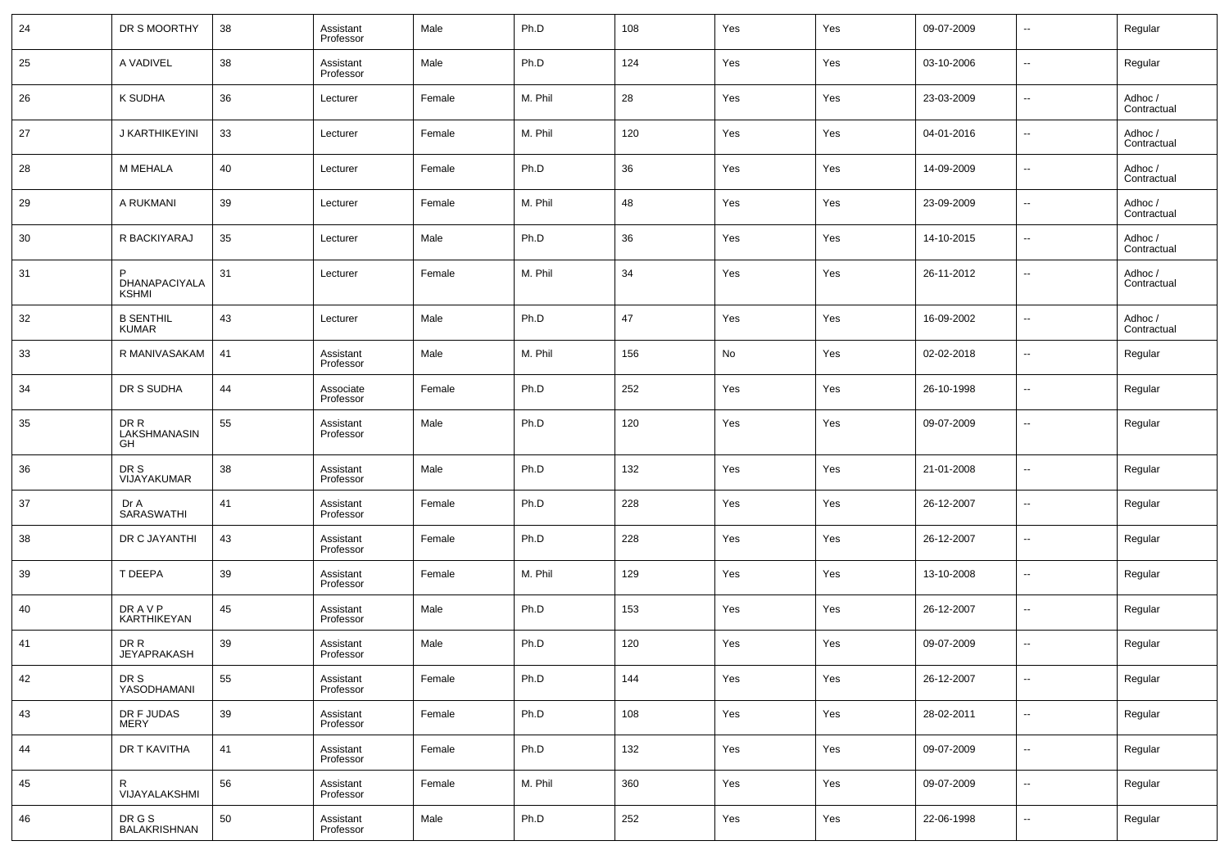| 24 | DR S MOORTHY                       | 38 | Assistant<br>Professor | Male   | Ph.D    | 108 | Yes | Yes | 09-07-2009 | $\overline{\phantom{a}}$ | Regular                |
|----|------------------------------------|----|------------------------|--------|---------|-----|-----|-----|------------|--------------------------|------------------------|
| 25 | A VADIVEL                          | 38 | Assistant<br>Professor | Male   | Ph.D    | 124 | Yes | Yes | 03-10-2006 | $\sim$                   | Regular                |
| 26 | K SUDHA                            | 36 | Lecturer               | Female | M. Phil | 28  | Yes | Yes | 23-03-2009 | $\sim$                   | Adhoc /<br>Contractual |
| 27 | J KARTHIKEYINI                     | 33 | Lecturer               | Female | M. Phil | 120 | Yes | Yes | 04-01-2016 | $\sim$                   | Adhoc /<br>Contractual |
| 28 | M MEHALA                           | 40 | Lecturer               | Female | Ph.D    | 36  | Yes | Yes | 14-09-2009 | $\sim$                   | Adhoc /<br>Contractual |
| 29 | A RUKMANI                          | 39 | Lecturer               | Female | M. Phil | 48  | Yes | Yes | 23-09-2009 | $\sim$                   | Adhoc /<br>Contractual |
| 30 | R BACKIYARAJ                       | 35 | Lecturer               | Male   | Ph.D    | 36  | Yes | Yes | 14-10-2015 | $\overline{\phantom{a}}$ | Adhoc /<br>Contractual |
| 31 | P<br>DHANAPACIYALA<br><b>KSHMI</b> | 31 | Lecturer               | Female | M. Phil | 34  | Yes | Yes | 26-11-2012 | $\overline{\phantom{a}}$ | Adhoc /<br>Contractual |
| 32 | <b>B SENTHIL</b><br><b>KUMAR</b>   | 43 | Lecturer               | Male   | Ph.D    | 47  | Yes | Yes | 16-09-2002 | $\overline{\phantom{a}}$ | Adhoc /<br>Contractual |
| 33 | R MANIVASAKAM                      | 41 | Assistant<br>Professor | Male   | M. Phil | 156 | No  | Yes | 02-02-2018 | $\overline{\phantom{a}}$ | Regular                |
| 34 | DR S SUDHA                         | 44 | Associate<br>Professor | Female | Ph.D    | 252 | Yes | Yes | 26-10-1998 | $\overline{\phantom{a}}$ | Regular                |
| 35 | DR R<br>LAKSHMANASIN<br>GH         | 55 | Assistant<br>Professor | Male   | Ph.D    | 120 | Yes | Yes | 09-07-2009 | ۰.                       | Regular                |
| 36 | DR S<br>VIJAYAKUMAR                | 38 | Assistant<br>Professor | Male   | Ph.D    | 132 | Yes | Yes | 21-01-2008 | $\overline{\phantom{a}}$ | Regular                |
| 37 | Dr A<br>SARASWATHI                 | 41 | Assistant<br>Professor | Female | Ph.D    | 228 | Yes | Yes | 26-12-2007 | $\ddotsc$                | Regular                |
| 38 | DR C JAYANTHI                      | 43 | Assistant<br>Professor | Female | Ph.D    | 228 | Yes | Yes | 26-12-2007 | $\sim$                   | Regular                |
| 39 | T DEEPA                            | 39 | Assistant<br>Professor | Female | M. Phil | 129 | Yes | Yes | 13-10-2008 | $\ddotsc$                | Regular                |
| 40 | DR A V P<br>KARTHIKEYAN            | 45 | Assistant<br>Professor | Male   | Ph.D    | 153 | Yes | Yes | 26-12-2007 | $\sim$                   | Regular                |
| 41 | DR R<br><b>JEYAPRAKASH</b>         | 39 | Assistant<br>Professor | Male   | Ph.D    | 120 | Yes | Yes | 09-07-2009 | $\overline{\phantom{a}}$ | Regular                |
| 42 | DR S<br>YASODHAMANI                | 55 | Assistant<br>Professor | Female | Ph.D    | 144 | Yes | Yes | 26-12-2007 | $\sim$                   | Regular                |
| 43 | DR F JUDAS<br><b>MERY</b>          | 39 | Assistant<br>Professor | Female | Ph.D    | 108 | Yes | Yes | 28-02-2011 | $\sim$                   | Regular                |
| 44 | DR T KAVITHA                       | 41 | Assistant<br>Professor | Female | Ph.D    | 132 | Yes | Yes | 09-07-2009 | $\sim$                   | Regular                |
| 45 | R<br>VIJAYALAKSHMI                 | 56 | Assistant<br>Professor | Female | M. Phil | 360 | Yes | Yes | 09-07-2009 | $\sim$                   | Regular                |
| 46 | DR G S<br>BALAKRISHNAN             | 50 | Assistant<br>Professor | Male   | Ph.D    | 252 | Yes | Yes | 22-06-1998 | $\sim$                   | Regular                |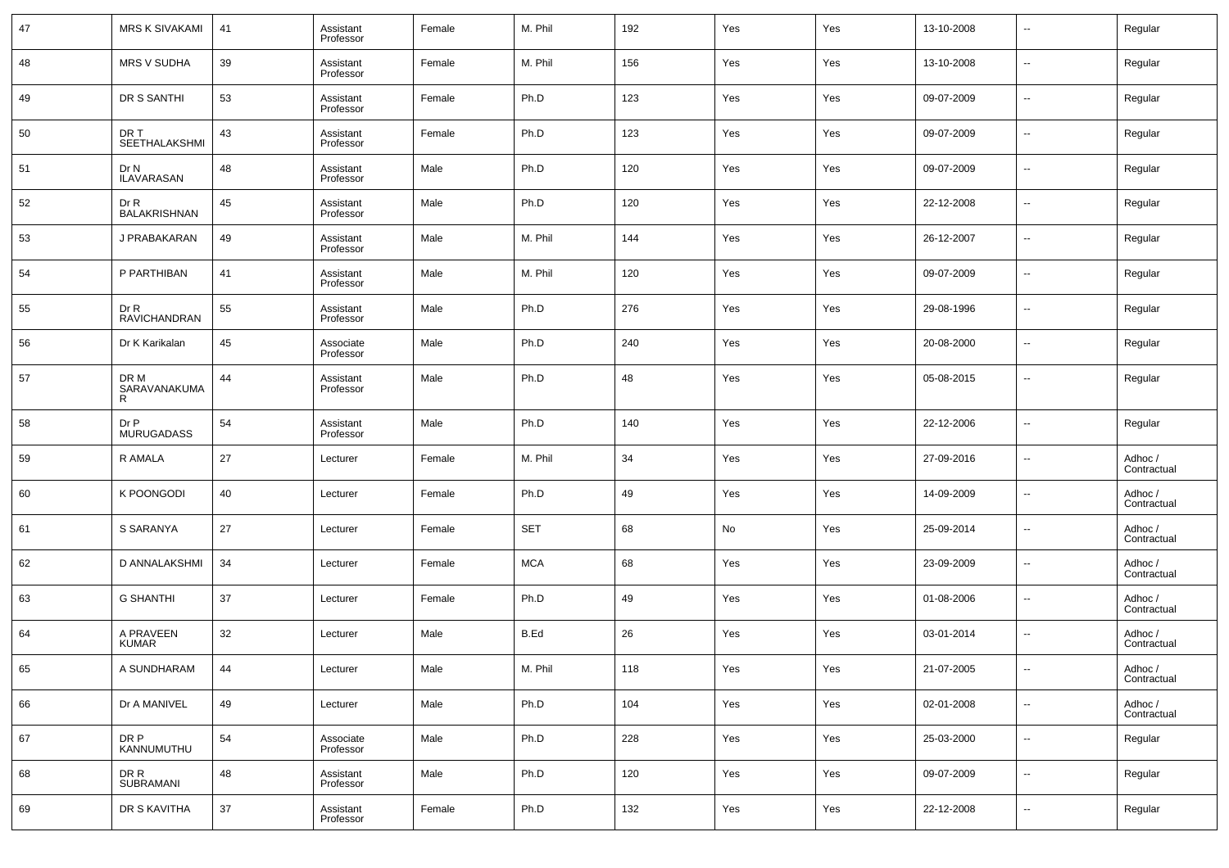| 47 | <b>MRS K SIVAKAMI</b>            | 41 | Assistant<br>Professor | Female | M. Phil    | 192 | Yes | Yes | 13-10-2008 | $\sim$                   | Regular                |
|----|----------------------------------|----|------------------------|--------|------------|-----|-----|-----|------------|--------------------------|------------------------|
| 48 | <b>MRS V SUDHA</b>               | 39 | Assistant<br>Professor | Female | M. Phil    | 156 | Yes | Yes | 13-10-2008 | ⊶.                       | Regular                |
| 49 | DR S SANTHI                      | 53 | Assistant<br>Professor | Female | Ph.D       | 123 | Yes | Yes | 09-07-2009 | $\sim$                   | Regular                |
| 50 | DR T<br><b>SEETHALAKSHMI</b>     | 43 | Assistant<br>Professor | Female | Ph.D       | 123 | Yes | Yes | 09-07-2009 | ⊶.                       | Regular                |
| 51 | Dr N<br><b>ILAVARASAN</b>        | 48 | Assistant<br>Professor | Male   | Ph.D       | 120 | Yes | Yes | 09-07-2009 | $\sim$                   | Regular                |
| 52 | Dr R<br><b>BALAKRISHNAN</b>      | 45 | Assistant<br>Professor | Male   | Ph.D       | 120 | Yes | Yes | 22-12-2008 | ⊶.                       | Regular                |
| 53 | J PRABAKARAN                     | 49 | Assistant<br>Professor | Male   | M. Phil    | 144 | Yes | Yes | 26-12-2007 | ⊶.                       | Regular                |
| 54 | P PARTHIBAN                      | 41 | Assistant<br>Professor | Male   | M. Phil    | 120 | Yes | Yes | 09-07-2009 | ⊶.                       | Regular                |
| 55 | Dr R<br><b>RAVICHANDRAN</b>      | 55 | Assistant<br>Professor | Male   | Ph.D       | 276 | Yes | Yes | 29-08-1996 | $\overline{\phantom{a}}$ | Regular                |
| 56 | Dr K Karikalan                   | 45 | Associate<br>Professor | Male   | Ph.D       | 240 | Yes | Yes | 20-08-2000 | ⊶.                       | Regular                |
| 57 | DR M<br><b>SARAVANAKUMA</b><br>R | 44 | Assistant<br>Professor | Male   | Ph.D       | 48  | Yes | Yes | 05-08-2015 | --                       | Regular                |
| 58 | Dr P<br><b>MURUGADASS</b>        | 54 | Assistant<br>Professor | Male   | Ph.D       | 140 | Yes | Yes | 22-12-2006 | $\overline{\phantom{a}}$ | Regular                |
| 59 | R AMALA                          | 27 | Lecturer               | Female | M. Phil    | 34  | Yes | Yes | 27-09-2016 | $\sim$                   | Adhoc /<br>Contractual |
| 60 | K POONGODI                       | 40 | Lecturer               | Female | Ph.D       | 49  | Yes | Yes | 14-09-2009 | $\overline{\phantom{a}}$ | Adhoc /<br>Contractual |
| 61 | S SARANYA                        | 27 | Lecturer               | Female | <b>SET</b> | 68  | No  | Yes | 25-09-2014 | $\sim$                   | Adhoc /<br>Contractual |
| 62 | D ANNALAKSHMI                    | 34 | Lecturer               | Female | <b>MCA</b> | 68  | Yes | Yes | 23-09-2009 | $\overline{\phantom{a}}$ | Adhoc /<br>Contractual |
| 63 | <b>G SHANTHI</b>                 | 37 | Lecturer               | Female | Ph.D       | 49  | Yes | Yes | 01-08-2006 | $\overline{\phantom{a}}$ | Adhoc /<br>Contractual |
| 64 | A PRAVEEN<br><b>KUMAR</b>        | 32 | Lecturer               | Male   | B.Ed       | 26  | Yes | Yes | 03-01-2014 | $\sim$                   | Adhoc /<br>Contractual |
| 65 | A SUNDHARAM                      | 44 | Lecturer               | Male   | M. Phil    | 118 | Yes | Yes | 21-07-2005 |                          | Adhoc /<br>Contractual |
| 66 | Dr A MANIVEL                     | 49 | Lecturer               | Male   | Ph.D       | 104 | Yes | Yes | 02-01-2008 | $\overline{\phantom{a}}$ | Adhoc /<br>Contractual |
| 67 | DR P<br>KANNUMUTHU               | 54 | Associate<br>Professor | Male   | Ph.D       | 228 | Yes | Yes | 25-03-2000 | $\overline{\phantom{a}}$ | Regular                |
| 68 | DR R<br>SUBRAMANI                | 48 | Assistant<br>Professor | Male   | Ph.D       | 120 | Yes | Yes | 09-07-2009 | $\overline{\phantom{a}}$ | Regular                |
| 69 | DR S KAVITHA                     | 37 | Assistant<br>Professor | Female | Ph.D       | 132 | Yes | Yes | 22-12-2008 | $\sim$                   | Regular                |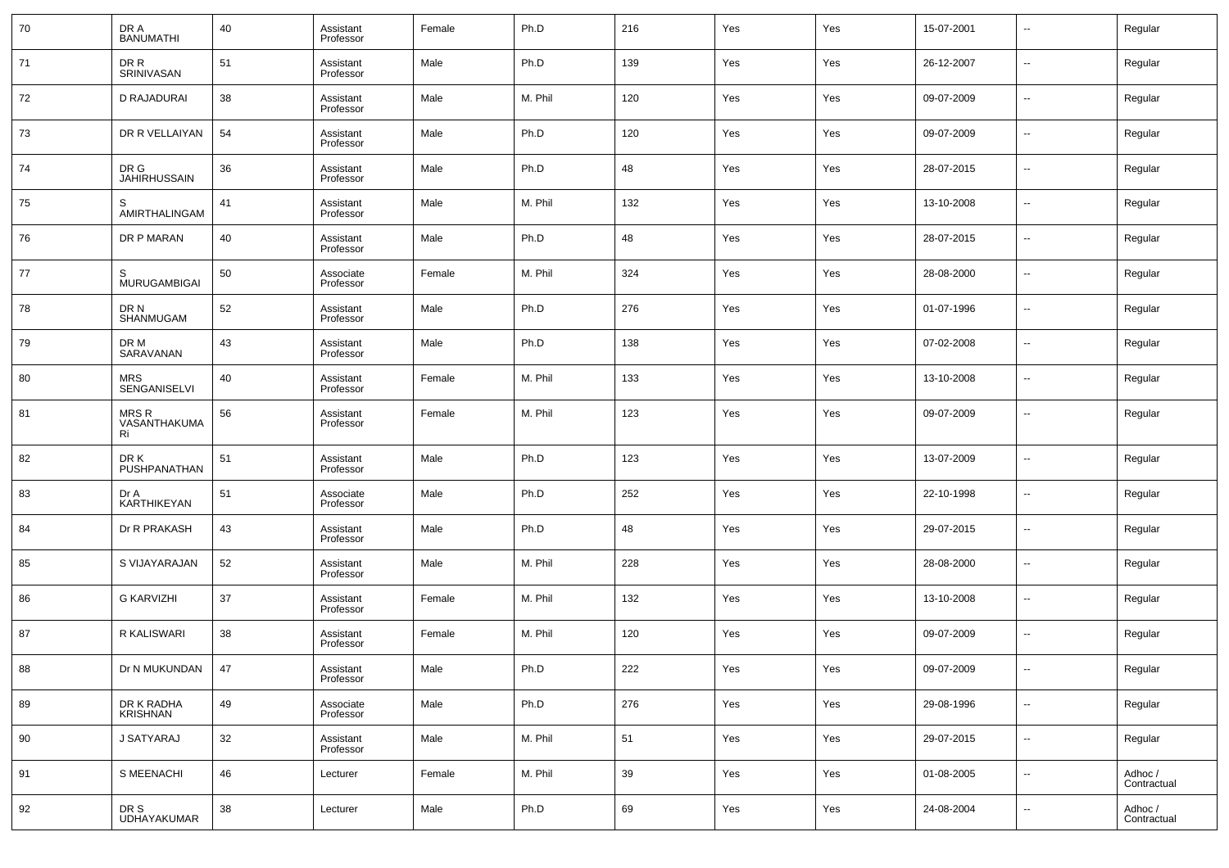| 70 | DR A<br><b>BANUMATHI</b>          | 40 | Assistant<br>Professor | Female | Ph.D    | 216 | Yes | Yes | 15-07-2001 | $\overline{\phantom{a}}$ | Regular                |
|----|-----------------------------------|----|------------------------|--------|---------|-----|-----|-----|------------|--------------------------|------------------------|
| 71 | DR R<br><b>SRINIVASAN</b>         | 51 | Assistant<br>Professor | Male   | Ph.D    | 139 | Yes | Yes | 26-12-2007 | $\overline{\phantom{a}}$ | Regular                |
| 72 | D RAJADURAI                       | 38 | Assistant<br>Professor | Male   | M. Phil | 120 | Yes | Yes | 09-07-2009 | $\overline{\phantom{a}}$ | Regular                |
| 73 | DR R VELLAIYAN                    | 54 | Assistant<br>Professor | Male   | Ph.D    | 120 | Yes | Yes | 09-07-2009 | $\overline{\phantom{a}}$ | Regular                |
| 74 | DR G<br><b>JAHIRHUSSAIN</b>       | 36 | Assistant<br>Professor | Male   | Ph.D    | 48  | Yes | Yes | 28-07-2015 | $\overline{\phantom{a}}$ | Regular                |
| 75 | S<br>AMIRTHALINGAM                | 41 | Assistant<br>Professor | Male   | M. Phil | 132 | Yes | Yes | 13-10-2008 | $\overline{\phantom{a}}$ | Regular                |
| 76 | DR P MARAN                        | 40 | Assistant<br>Professor | Male   | Ph.D    | 48  | Yes | Yes | 28-07-2015 | $\overline{\phantom{a}}$ | Regular                |
| 77 | S<br><b>MURUGAMBIGAI</b>          | 50 | Associate<br>Professor | Female | M. Phil | 324 | Yes | Yes | 28-08-2000 | $\overline{\phantom{a}}$ | Regular                |
| 78 | DR N<br>SHANMUGAM                 | 52 | Assistant<br>Professor | Male   | Ph.D    | 276 | Yes | Yes | 01-07-1996 | $\overline{\phantom{a}}$ | Regular                |
| 79 | DR M<br>SARAVANAN                 | 43 | Assistant<br>Professor | Male   | Ph.D    | 138 | Yes | Yes | 07-02-2008 | $\overline{\phantom{a}}$ | Regular                |
| 80 | MRS<br><b>SENGANISELVI</b>        | 40 | Assistant<br>Professor | Female | M. Phil | 133 | Yes | Yes | 13-10-2008 | $\overline{\phantom{a}}$ | Regular                |
| 81 | <b>MRSR</b><br>VASANTHAKUMA<br>Ri | 56 | Assistant<br>Professor | Female | M. Phil | 123 | Yes | Yes | 09-07-2009 | $\overline{\phantom{a}}$ | Regular                |
| 82 | DR K<br>PUSHPANATHAN              | 51 | Assistant<br>Professor | Male   | Ph.D    | 123 | Yes | Yes | 13-07-2009 | $\ddotsc$                | Regular                |
| 83 | Dr A<br>KARTHIKEYAN               | 51 | Associate<br>Professor | Male   | Ph.D    | 252 | Yes | Yes | 22-10-1998 | $\overline{\phantom{a}}$ | Regular                |
| 84 | Dr R PRAKASH                      | 43 | Assistant<br>Professor | Male   | Ph.D    | 48  | Yes | Yes | 29-07-2015 | $\overline{\phantom{a}}$ | Regular                |
| 85 | S VIJAYARAJAN                     | 52 | Assistant<br>Professor | Male   | M. Phil | 228 | Yes | Yes | 28-08-2000 | $\overline{\phantom{a}}$ | Regular                |
| 86 | <b>G KARVIZHI</b>                 | 37 | Assistant<br>Professor | Female | M. Phil | 132 | Yes | Yes | 13-10-2008 | $\overline{\phantom{a}}$ | Regular                |
| 87 | R KALISWARI                       | 38 | Assistant<br>Professor | Female | M. Phil | 120 | Yes | Yes | 09-07-2009 | $\overline{\phantom{a}}$ | Regular                |
| 88 | Dr N MUKUNDAN                     | 47 | Assistant<br>Professor | Male   | Ph.D    | 222 | Yes | Yes | 09-07-2009 |                          | Regular                |
| 89 | DR K RADHA<br>KRISHNAN            | 49 | Associate<br>Professor | Male   | Ph.D    | 276 | Yes | Yes | 29-08-1996 | $\overline{\phantom{a}}$ | Regular                |
| 90 | J SATYARAJ                        | 32 | Assistant<br>Professor | Male   | M. Phil | 51  | Yes | Yes | 29-07-2015 | $\overline{\phantom{a}}$ | Regular                |
| 91 | S MEENACHI                        | 46 | Lecturer               | Female | M. Phil | 39  | Yes | Yes | 01-08-2005 | $\overline{\phantom{a}}$ | Adhoc /<br>Contractual |
| 92 | DR S<br>UDHAYAKUMAR               | 38 | Lecturer               | Male   | Ph.D    | 69  | Yes | Yes | 24-08-2004 | $\overline{\phantom{a}}$ | Adhoc /<br>Contractual |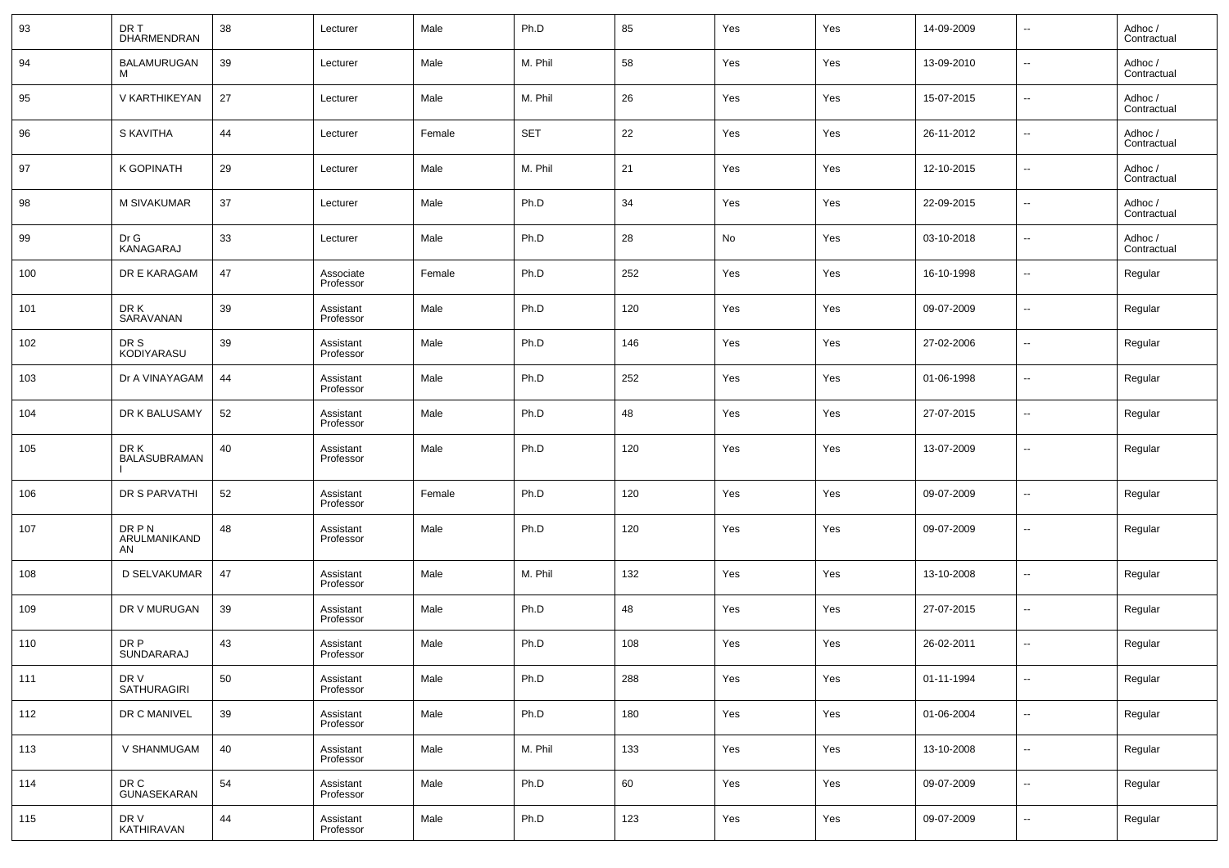| 93  | DR T<br>DHARMENDRAN           | 38 | Lecturer               | Male   | Ph.D       | 85  | Yes | Yes | 14-09-2009 | $\overline{\phantom{a}}$ | Adhoc /<br>Contractual |
|-----|-------------------------------|----|------------------------|--------|------------|-----|-----|-----|------------|--------------------------|------------------------|
| 94  | BALAMURUGAN                   | 39 | Lecturer               | Male   | M. Phil    | 58  | Yes | Yes | 13-09-2010 | $\overline{\phantom{a}}$ | Adhoc /<br>Contractual |
| 95  | V KARTHIKEYAN                 | 27 | Lecturer               | Male   | M. Phil    | 26  | Yes | Yes | 15-07-2015 | $\sim$                   | Adhoc /<br>Contractual |
| 96  | S KAVITHA                     | 44 | Lecturer               | Female | <b>SET</b> | 22  | Yes | Yes | 26-11-2012 | $\overline{\phantom{a}}$ | Adhoc /<br>Contractual |
| 97  | K GOPINATH                    | 29 | Lecturer               | Male   | M. Phil    | 21  | Yes | Yes | 12-10-2015 | $\sim$                   | Adhoc /<br>Contractual |
| 98  | M SIVAKUMAR                   | 37 | Lecturer               | Male   | Ph.D       | 34  | Yes | Yes | 22-09-2015 | $\overline{\phantom{a}}$ | Adhoc /<br>Contractual |
| 99  | Dr G<br>KANAGARAJ             | 33 | Lecturer               | Male   | Ph.D       | 28  | No  | Yes | 03-10-2018 | $\sim$                   | Adhoc /<br>Contractual |
| 100 | DR E KARAGAM                  | 47 | Associate<br>Professor | Female | Ph.D       | 252 | Yes | Yes | 16-10-1998 | $\overline{\phantom{a}}$ | Regular                |
| 101 | DR K<br>SARAVANAN             | 39 | Assistant<br>Professor | Male   | Ph.D       | 120 | Yes | Yes | 09-07-2009 | $\overline{\phantom{a}}$ | Regular                |
| 102 | DR S<br>KODIYARASU            | 39 | Assistant<br>Professor | Male   | Ph.D       | 146 | Yes | Yes | 27-02-2006 | $\overline{\phantom{a}}$ | Regular                |
| 103 | Dr A VINAYAGAM                | 44 | Assistant<br>Professor | Male   | Ph.D       | 252 | Yes | Yes | 01-06-1998 | $\overline{\phantom{a}}$ | Regular                |
| 104 | DR K BALUSAMY                 | 52 | Assistant<br>Professor | Male   | Ph.D       | 48  | Yes | Yes | 27-07-2015 | $\overline{\phantom{a}}$ | Regular                |
| 105 | DR K<br>BALASUBRAMAN          | 40 | Assistant<br>Professor | Male   | Ph.D       | 120 | Yes | Yes | 13-07-2009 | $\overline{\phantom{a}}$ | Regular                |
| 106 | DR S PARVATHI                 | 52 | Assistant<br>Professor | Female | Ph.D       | 120 | Yes | Yes | 09-07-2009 | $\overline{\phantom{a}}$ | Regular                |
| 107 | DR P N<br>ARULMANIKAND<br>AN. | 48 | Assistant<br>Professor | Male   | Ph.D       | 120 | Yes | Yes | 09-07-2009 | --                       | Regular                |
| 108 | D SELVAKUMAR                  | 47 | Assistant<br>Professor | Male   | M. Phil    | 132 | Yes | Yes | 13-10-2008 | --                       | Regular                |
| 109 | DR V MURUGAN                  | 39 | Assistant<br>Professor | Male   | Ph.D       | 48  | Yes | Yes | 27-07-2015 | --                       | Regular                |
| 110 | DR P<br>SUNDARARAJ            | 43 | Assistant<br>Professor | Male   | Ph.D       | 108 | Yes | Yes | 26-02-2011 | --                       | Regular                |
| 111 | DR V<br>SATHURAGIRI           | 50 | Assistant<br>Professor | Male   | Ph.D       | 288 | Yes | Yes | 01-11-1994 | $\overline{\phantom{a}}$ | Regular                |
| 112 | DR C MANIVEL                  | 39 | Assistant<br>Professor | Male   | Ph.D       | 180 | Yes | Yes | 01-06-2004 | ٠.                       | Regular                |
| 113 | V SHANMUGAM                   | 40 | Assistant<br>Professor | Male   | M. Phil    | 133 | Yes | Yes | 13-10-2008 | $\overline{\phantom{a}}$ | Regular                |
| 114 | DR C<br>GUNASEKARAN           | 54 | Assistant<br>Professor | Male   | Ph.D       | 60  | Yes | Yes | 09-07-2009 | $\overline{\phantom{a}}$ | Regular                |
| 115 | DR V<br>KATHIRAVAN            | 44 | Assistant<br>Professor | Male   | Ph.D       | 123 | Yes | Yes | 09-07-2009 | $\overline{\phantom{a}}$ | Regular                |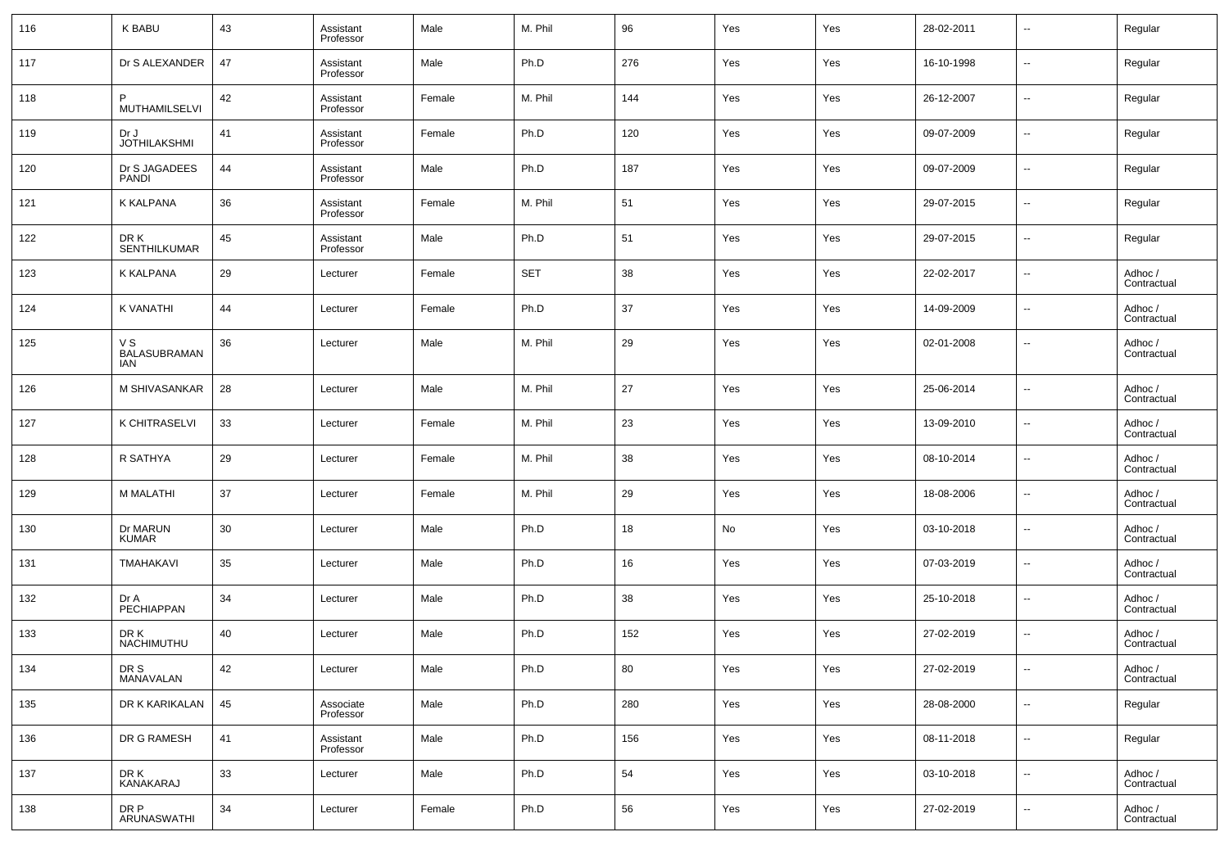| 116 | <b>K BABU</b>                            | 43 | Assistant<br>Professor | Male   | M. Phil    | 96  | Yes | Yes | 28-02-2011 | $\overline{\phantom{a}}$ | Regular                |
|-----|------------------------------------------|----|------------------------|--------|------------|-----|-----|-----|------------|--------------------------|------------------------|
| 117 | Dr S ALEXANDER                           | 47 | Assistant<br>Professor | Male   | Ph.D       | 276 | Yes | Yes | 16-10-1998 | $\overline{\phantom{a}}$ | Regular                |
| 118 | P<br><b>MUTHAMILSELVI</b>                | 42 | Assistant<br>Professor | Female | M. Phil    | 144 | Yes | Yes | 26-12-2007 | $\overline{\phantom{a}}$ | Regular                |
| 119 | Dr J<br><b>JOTHILAKSHMI</b>              | 41 | Assistant<br>Professor | Female | Ph.D       | 120 | Yes | Yes | 09-07-2009 | $\overline{\phantom{a}}$ | Regular                |
| 120 | Dr S JAGADEES<br><b>PANDI</b>            | 44 | Assistant<br>Professor | Male   | Ph.D       | 187 | Yes | Yes | 09-07-2009 | $\overline{\phantom{a}}$ | Regular                |
| 121 | <b>K KALPANA</b>                         | 36 | Assistant<br>Professor | Female | M. Phil    | 51  | Yes | Yes | 29-07-2015 | $\overline{\phantom{a}}$ | Regular                |
| 122 | DR K<br><b>SENTHILKUMAR</b>              | 45 | Assistant<br>Professor | Male   | Ph.D       | 51  | Yes | Yes | 29-07-2015 | $\overline{\phantom{a}}$ | Regular                |
| 123 | K KALPANA                                | 29 | Lecturer               | Female | <b>SET</b> | 38  | Yes | Yes | 22-02-2017 | $\overline{\phantom{a}}$ | Adhoc /<br>Contractual |
| 124 | <b>K VANATHI</b>                         | 44 | Lecturer               | Female | Ph.D       | 37  | Yes | Yes | 14-09-2009 | $\overline{\phantom{a}}$ | Adhoc /<br>Contractual |
| 125 | V S<br><b>BALASUBRAMAN</b><br><b>IAN</b> | 36 | Lecturer               | Male   | M. Phil    | 29  | Yes | Yes | 02-01-2008 | $\overline{\phantom{a}}$ | Adhoc /<br>Contractual |
| 126 | M SHIVASANKAR                            | 28 | Lecturer               | Male   | M. Phil    | 27  | Yes | Yes | 25-06-2014 | --                       | Adhoc /<br>Contractual |
| 127 | K CHITRASELVI                            | 33 | Lecturer               | Female | M. Phil    | 23  | Yes | Yes | 13-09-2010 | $\overline{\phantom{a}}$ | Adhoc /<br>Contractual |
| 128 | R SATHYA                                 | 29 | Lecturer               | Female | M. Phil    | 38  | Yes | Yes | 08-10-2014 | --                       | Adhoc /<br>Contractual |
| 129 | M MALATHI                                | 37 | Lecturer               | Female | M. Phil    | 29  | Yes | Yes | 18-08-2006 | $\overline{\phantom{a}}$ | Adhoc /<br>Contractual |
| 130 | Dr MARUN<br><b>KUMAR</b>                 | 30 | Lecturer               | Male   | Ph.D       | 18  | No  | Yes | 03-10-2018 | $\overline{\phantom{a}}$ | Adhoc /<br>Contractual |
| 131 | TMAHAKAVI                                | 35 | Lecturer               | Male   | Ph.D       | 16  | Yes | Yes | 07-03-2019 | $\overline{\phantom{a}}$ | Adhoc /<br>Contractual |
| 132 | Dr A<br>PECHIAPPAN                       | 34 | Lecturer               | Male   | Ph.D       | 38  | Yes | Yes | 25-10-2018 | $\overline{\phantom{a}}$ | Adhoc /<br>Contractual |
| 133 | DR K<br>NACHIMUTHU                       | 40 | Lecturer               | Male   | Ph.D       | 152 | Yes | Yes | 27-02-2019 | $\overline{\phantom{a}}$ | Adhoc /<br>Contractual |
| 134 | DR S<br>MANAVALAN                        | 42 | Lecturer               | Male   | Ph.D       | 80  | Yes | Yes | 27-02-2019 |                          | Adhoc /<br>Contractual |
| 135 | DR K KARIKALAN                           | 45 | Associate<br>Professor | Male   | Ph.D       | 280 | Yes | Yes | 28-08-2000 | $\overline{\phantom{a}}$ | Regular                |
| 136 | DR G RAMESH                              | 41 | Assistant<br>Professor | Male   | Ph.D       | 156 | Yes | Yes | 08-11-2018 | $\overline{\phantom{a}}$ | Regular                |
| 137 | DR K<br>KANAKARAJ                        | 33 | Lecturer               | Male   | Ph.D       | 54  | Yes | Yes | 03-10-2018 | $\overline{\phantom{a}}$ | Adhoc /<br>Contractual |
| 138 | DR P<br>ARUNASWATHI                      | 34 | Lecturer               | Female | Ph.D       | 56  | Yes | Yes | 27-02-2019 | $\overline{\phantom{a}}$ | Adhoc /<br>Contractual |